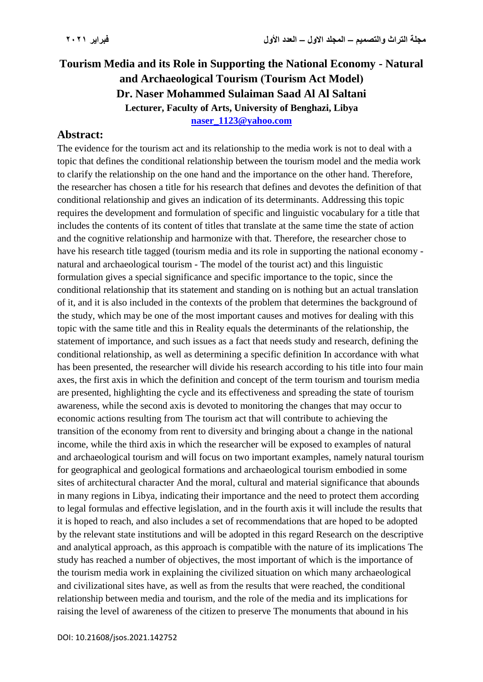## **Tourism Media and its Role in Supporting the National Economy - Natural**  and Archaeological Tourism (Tourism Act Model) **Dr. Naser Mohammed Sulaiman Saad Al Al Saltani Lecturer, Faculty of Arts, University of Benghazi, Libya [naser\\_1123@yahoo.com](mailto:naser_1123@yahoo.com)**

## **Abstract:**

The evidence for the tourism act and its relationship to the media work is not to deal with a topic that defines the conditional relationship between the tourism model and the media work to clarify the relationship on the one hand and the importance on the other hand. Therefore, the researcher has chosen a title for his research that defines and devotes the definition of that conditional relationship and gives an indication of its determinants. Addressing this topic requires the development and formulation of specific and linguistic vocabulary for a title that includes the contents of its content of titles that translate at the same time the state of action and the cognitive relationship and harmonize with that. Therefore, the researcher chose to have his research title tagged (tourism media and its role in supporting the national economy natural and archaeological tourism - The model of the tourist act) and this linguistic formulation gives a special significance and specific importance to the topic, since the conditional relationship that its statement and standing on is nothing but an actual translation of it, and it is also included in the contexts of the problem that determines the background of the study, which may be one of the most important causes and motives for dealing with this topic with the same title and this in Reality equals the determinants of the relationship, the statement of importance, and such issues as a fact that needs study and research, defining the conditional relationship, as well as determining a specific definition In accordance with what has been presented, the researcher will divide his research according to his title into four main axes, the first axis in which the definition and concept of the term tourism and tourism media are presented, highlighting the cycle and its effectiveness and spreading the state of tourism awareness, while the second axis is devoted to monitoring the changes that may occur to economic actions resulting from The tourism act that will contribute to achieving the transition of the economy from rent to diversity and bringing about a change in the national income, while the third axis in which the researcher will be exposed to examples of natural and archaeological tourism and will focus on two important examples, namely natural tourism for geographical and geological formations and archaeological tourism embodied in some sites of architectural character And the moral, cultural and material significance that abounds in many regions in Libya, indicating their importance and the need to protect them according to legal formulas and effective legislation, and in the fourth axis it will include the results that it is hoped to reach, and also includes a set of recommendations that are hoped to be adopted by the relevant state institutions and will be adopted in this regard Research on the descriptive and analytical approach, as this approach is compatible with the nature of its implications The study has reached a number of objectives, the most important of which is the importance of the tourism media work in explaining the civilized situation on which many archaeological and civilizational sites have, as well as from the results that were reached, the conditional relationship between media and tourism, and the role of the media and its implications for raising the level of awareness of the citizen to preserve The monuments that abound in his